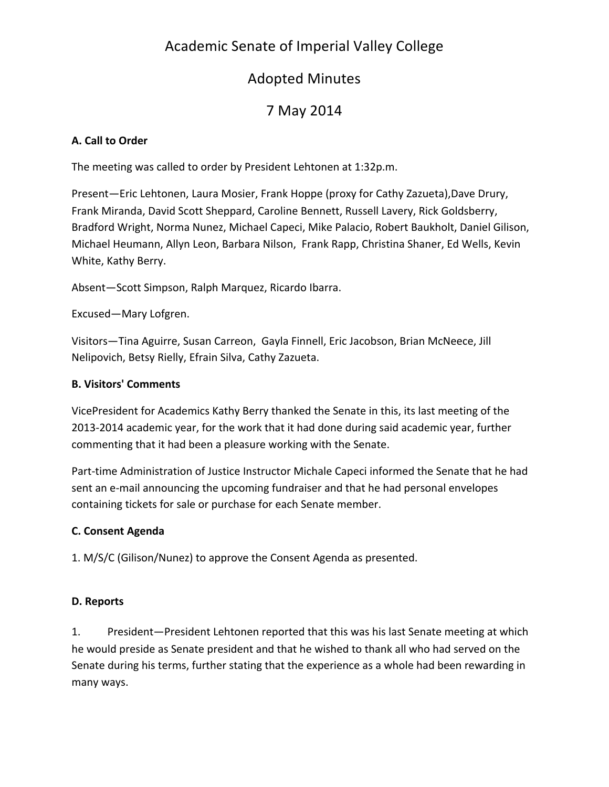# Academic Senate of Imperial Valley College

# **Adopted Minutes**

# 7 May 2014

## **A. Call to Order**

The meeting was called to order by President Lehtonen at 1:32p.m.

Present—Eric Lehtonen, Laura Mosier, Frank Hoppe (proxy for Cathy Zazueta),Dave Drury, Frank Miranda, David Scott Sheppard, Caroline Bennett, Russell Lavery, Rick Goldsberry, Bradford Wright, Norma Nunez, Michael Capeci, Mike Palacio, Robert Baukholt, Daniel Gilison, Michael Heumann, Allyn Leon, Barbara Nilson, Frank Rapp, Christina Shaner, Ed Wells, Kevin White, Kathy Berry.

Absent-Scott Simpson, Ralph Marquez, Ricardo Ibarra.

Excused—Mary Lofgren.

Visitors—Tina Aguirre, Susan Carreon, Gayla Finnell, Eric Jacobson, Brian McNeece, Jill Nelipovich, Betsy Rielly, Efrain Silva, Cathy Zazueta.

### **B. Visitors' Comments**

VicePresident for Academics Kathy Berry thanked the Senate in this, its last meeting of the 2013-2014 academic year, for the work that it had done during said academic year, further commenting that it had been a pleasure working with the Senate.

Part-time Administration of Justice Instructor Michale Capeci informed the Senate that he had sent an e-mail announcing the upcoming fundraiser and that he had personal envelopes containing tickets for sale or purchase for each Senate member.

### **C. Consent Agenda**

1. M/S/C (Gilison/Nunez) to approve the Consent Agenda as presented.

### **D. Reports**

1. President—President Lehtonen reported that this was his last Senate meeting at which he would preside as Senate president and that he wished to thank all who had served on the Senate during his terms, further stating that the experience as a whole had been rewarding in many ways.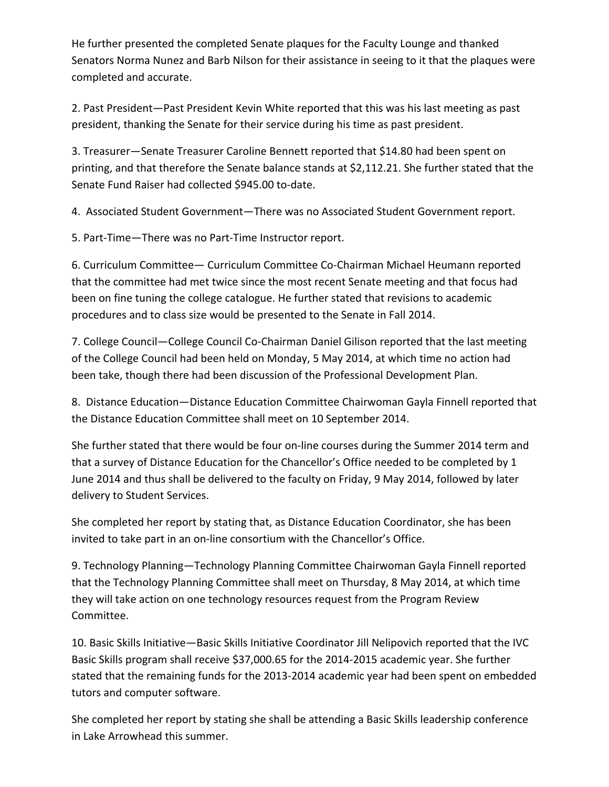He further presented the completed Senate plaques for the Faculty Lounge and thanked Senators Norma Nunez and Barb Nilson for their assistance in seeing to it that the plaques were completed and accurate.

2. Past President—Past President Kevin White reported that this was his last meeting as past president, thanking the Senate for their service during his time as past president.

3. Treasurer—Senate Treasurer Caroline Bennett reported that \$14.80 had been spent on printing, and that therefore the Senate balance stands at \$2,112.21. She further stated that the Senate Fund Raiser had collected \$945.00 to-date.

4. Associated Student Government—There was no Associated Student Government report.

5. Part-Time-There was no Part-Time Instructor report.

6. Curriculum Committee— Curriculum Committee Co-Chairman Michael Heumann reported that the committee had met twice since the most recent Senate meeting and that focus had been on fine tuning the college catalogue. He further stated that revisions to academic procedures and to class size would be presented to the Senate in Fall 2014.

7. College Council—College Council Co-Chairman Daniel Gilison reported that the last meeting of the College Council had been held on Monday, 5 May 2014, at which time no action had been take, though there had been discussion of the Professional Development Plan.

8. Distance Education—Distance Education Committee Chairwoman Gayla Finnell reported that the Distance Education Committee shall meet on 10 September 2014.

She further stated that there would be four on-line courses during the Summer 2014 term and that a survey of Distance Education for the Chancellor's Office needed to be completed by 1 June 2014 and thus shall be delivered to the faculty on Friday, 9 May 2014, followed by later delivery to Student Services.

She completed her report by stating that, as Distance Education Coordinator, she has been invited to take part in an on-line consortium with the Chancellor's Office.

9. Technology Planning—Technology Planning Committee Chairwoman Gayla Finnell reported that the Technology Planning Committee shall meet on Thursday, 8 May 2014, at which time they will take action on one technology resources request from the Program Review Committee.

10. Basic Skills Initiative—Basic Skills Initiative Coordinator Jill Nelipovich reported that the IVC Basic Skills program shall receive \$37,000.65 for the 2014-2015 academic year. She further stated that the remaining funds for the 2013-2014 academic year had been spent on embedded tutors and computer software.

She completed her report by stating she shall be attending a Basic Skills leadership conference in Lake Arrowhead this summer.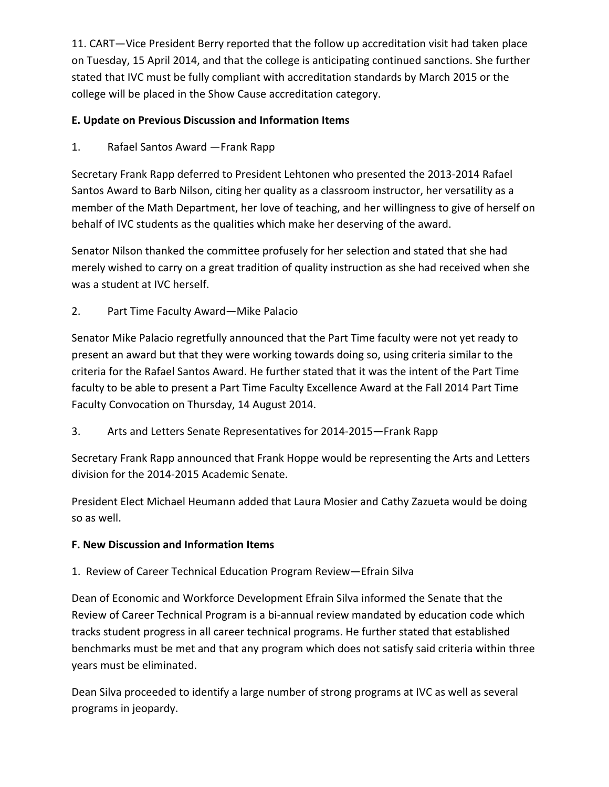11. CART-Vice President Berry reported that the follow up accreditation visit had taken place on Tuesday, 15 April 2014, and that the college is anticipating continued sanctions. She further stated that IVC must be fully compliant with accreditation standards by March 2015 or the college will be placed in the Show Cause accreditation category.

## **E. Update on Previous Discussion and Information Items**

1. Rafael Santos Award - Frank Rapp

Secretary Frank Rapp deferred to President Lehtonen who presented the 2013-2014 Rafael Santos Award to Barb Nilson, citing her quality as a classroom instructor, her versatility as a member of the Math Department, her love of teaching, and her willingness to give of herself on behalf of IVC students as the qualities which make her deserving of the award.

Senator Nilson thanked the committee profusely for her selection and stated that she had merely wished to carry on a great tradition of quality instruction as she had received when she was a student at IVC herself.

2. Part Time Faculty Award-Mike Palacio

Senator Mike Palacio regretfully announced that the Part Time faculty were not yet ready to present an award but that they were working towards doing so, using criteria similar to the criteria for the Rafael Santos Award. He further stated that it was the intent of the Part Time faculty to be able to present a Part Time Faculty Excellence Award at the Fall 2014 Part Time Faculty Convocation on Thursday, 14 August 2014.

3. Arts and Letters Senate Representatives for 2014-2015-Frank Rapp

Secretary Frank Rapp announced that Frank Hoppe would be representing the Arts and Letters division for the 2014-2015 Academic Senate.

President Elect Michael Heumann added that Laura Mosier and Cathy Zazueta would be doing so as well.

## **F. New Discussion and Information Items**

## 1. Review of Career Technical Education Program Review-Efrain Silva

Dean of Economic and Workforce Development Efrain Silva informed the Senate that the Review of Career Technical Program is a bi-annual review mandated by education code which tracks student progress in all career technical programs. He further stated that established benchmarks must be met and that any program which does not satisfy said criteria within three years must be eliminated.

Dean Silva proceeded to identify a large number of strong programs at IVC as well as several programs in jeopardy.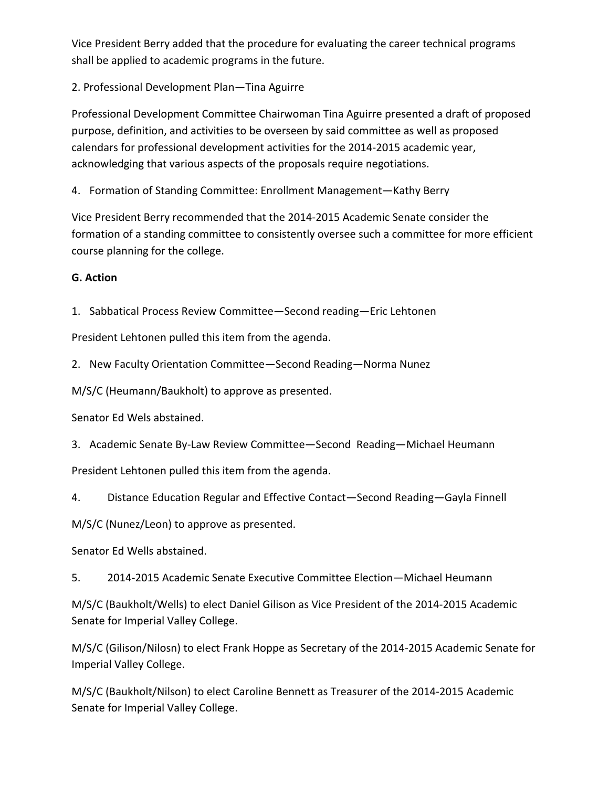Vice President Berry added that the procedure for evaluating the career technical programs shall be applied to academic programs in the future.

2. Professional Development Plan-Tina Aguirre

Professional Development Committee Chairwoman Tina Aguirre presented a draft of proposed purpose, definition, and activities to be overseen by said committee as well as proposed calendars for professional development activities for the 2014-2015 academic year, acknowledging that various aspects of the proposals require negotiations.

4. Formation of Standing Committee: Enrollment Management-Kathy Berry

Vice President Berry recommended that the 2014-2015 Academic Senate consider the formation of a standing committee to consistently oversee such a committee for more efficient course planning for the college.

### **G. Action**

1. Sabbatical Process Review Committee—Second reading—Eric Lehtonen

President Lehtonen pulled this item from the agenda.

2. New Faculty Orientation Committee—Second Reading—Norma Nunez

M/S/C (Heumann/Baukholt) to approve as presented.

Senator Ed Wels abstained.

3. Academic Senate By-Law Review Committee—Second Reading—Michael Heumann

President Lehtonen pulled this item from the agenda.

4. Distance Education Regular and Effective Contact—Second Reading—Gayla Finnell

M/S/C (Nunez/Leon) to approve as presented.

Senator Ed Wells abstained.

5. 2014-2015 Academic Senate Executive Committee Election—Michael Heumann

M/S/C (Baukholt/Wells) to elect Daniel Gilison as Vice President of the 2014-2015 Academic Senate for Imperial Valley College.

M/S/C (Gilison/Nilosn) to elect Frank Hoppe as Secretary of the 2014-2015 Academic Senate for Imperial Valley College.

M/S/C (Baukholt/Nilson) to elect Caroline Bennett as Treasurer of the 2014-2015 Academic Senate for Imperial Valley College.